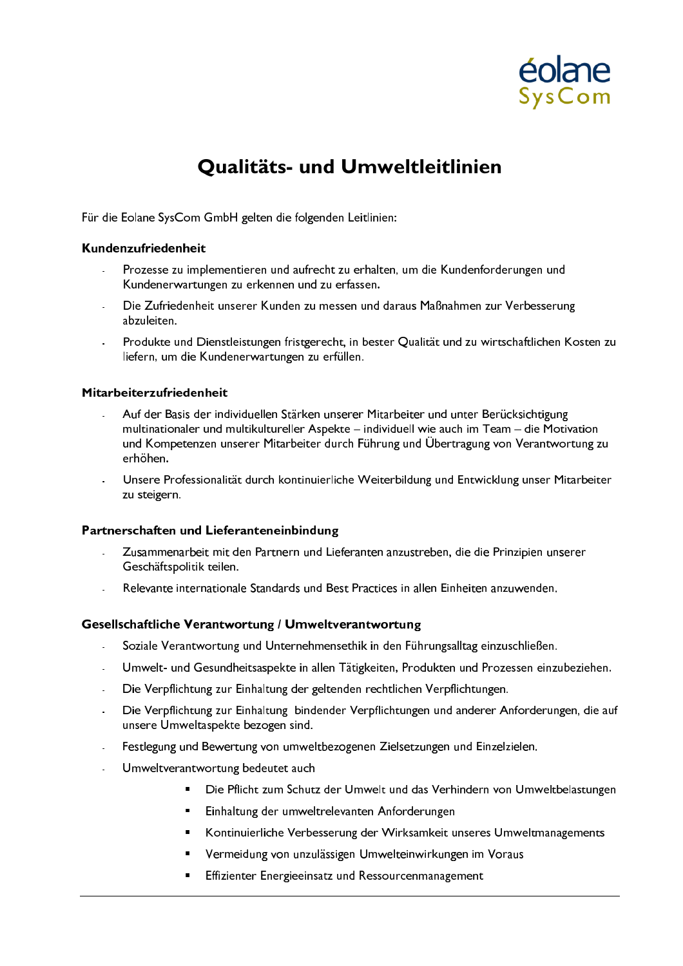

# Qualitäts- und Umweltleitlinien

Für die Eolane SysCom GmbH gelten die folgenden Leitlinien:

## Kundenzufriedenheit

- Prozesse zu implementieren und aufrecht zu erhalten, um die Kundenforderungen und Kundenerwartungen zu erkennen und zu erfassen.
- Die Zufriedenheit unserer Kunden zu messen und daraus Maßnahmen zur Verbesserung abzuleiten.
- Produkte und Dienstleistungen fristgerecht, in bester Qualität und zu wirtschaftlichen Kosten zu liefern, um die Kundenerwartungen zu erfüllen.

## Mitarbeiterzufriedenheit

- Auf der Basis der individuellen Stärken unserer Mitarbeiter und unter Berücksichtigung multinationaler und multikultureller Aspekte – individuell wie auch im Team – die Motivation und Kompetenzen unserer Mitarbeiter durch Führung und Übertragung von Verantwortung zu erhöhen.
- Unsere Professionalität durch kontinuierliche Weiterbildung und Entwicklung unser Mitarbeiter zu steigern.

### Partnerschaften und Lieferanteneinbindung

- Zusammenarbeit mit den Partnern und Lieferanten anzustreben, die die Prinzipien unserer Geschäftspolitik teilen.
- Relevante internationale Standards und Best Practices in allen Einheiten anzuwenden.

### Gesellschaftliche Verantwortung / Umweltverantwortung

- Soziale Verantwortung und Unternehmensethik in den Führungsalltag einzuschließen.  $\mathcal{L}$
- Umwelt- und Gesundheitsaspekte in allen Tätigkeiten, Produkten und Prozessen einzubeziehen.
- Die Verpflichtung zur Einhaltung der geltenden rechtlichen Verpflichtungen.
- Die Verpflichtung zur Einhaltung bindender Verpflichtungen und anderer Anforderungen, die auf unsere Umweltaspekte bezogen sind.
- Festlegung und Bewertung von umweltbezogenen Zielsetzungen und Einzelzielen.
- Umweltverantwortung bedeutet auch
	- Die Pflicht zum Schutz der Umwelt und das Verhindern von Umweltbelastungen
	- Einhaltung der umweltrelevanten Anforderungen
	- Kontinuierliche Verbesserung der Wirksamkeit unseres Umweltmanagements  $\blacksquare$
	- Vermeidung von unzulässigen Umwelteinwirkungen im Voraus
	- Effizienter Energieeinsatz und Ressourcenmanagement  $\blacksquare$